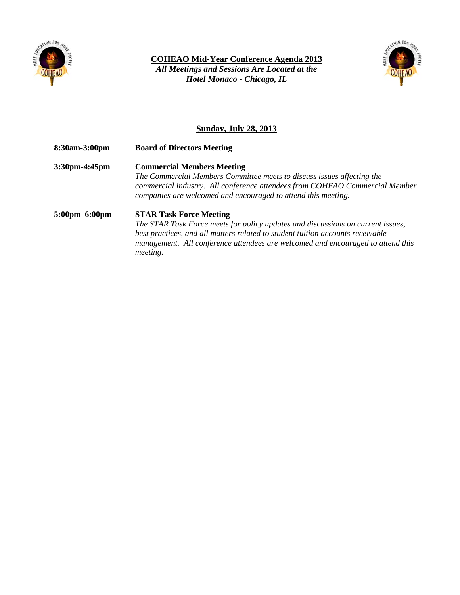

**COHEAO Mid-Year Conference Agenda 2013**

*All Meetings and Sessions Are Located at the Hotel Monaco - Chicago, IL*



## **Sunday, July 28, 2013**

**8:30am-3:00pm Board of Directors Meeting**

**3:30pm-4:45pm Commercial Members Meeting** *The Commercial Members Committee meets to discuss issues affecting the commercial industry. All conference attendees from COHEAO Commercial Member companies are welcomed and encouraged to attend this meeting.* 

## **5:00pm–6:00pm STAR Task Force Meeting**

*The STAR Task Force meets for policy updates and discussions on current issues, best practices, and all matters related to student tuition accounts receivable management. All conference attendees are welcomed and encouraged to attend this meeting.*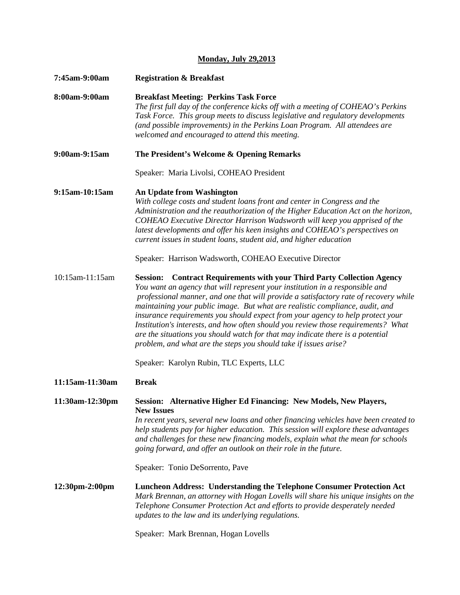## **Monday, July 29,2013**

| 7:45am-9:00am   | <b>Registration &amp; Breakfast</b>                                                                                                                                                                                                                                                                                                                                                                                                                                                                                                                                                                                                                                          |
|-----------------|------------------------------------------------------------------------------------------------------------------------------------------------------------------------------------------------------------------------------------------------------------------------------------------------------------------------------------------------------------------------------------------------------------------------------------------------------------------------------------------------------------------------------------------------------------------------------------------------------------------------------------------------------------------------------|
| 8:00am-9:00am   | <b>Breakfast Meeting: Perkins Task Force</b><br>The first full day of the conference kicks off with a meeting of COHEAO's Perkins<br>Task Force. This group meets to discuss legislative and regulatory developments<br>(and possible improvements) in the Perkins Loan Program. All attendees are<br>welcomed and encouraged to attend this meeting.                                                                                                                                                                                                                                                                                                                        |
| 9:00am-9:15am   | The President's Welcome & Opening Remarks                                                                                                                                                                                                                                                                                                                                                                                                                                                                                                                                                                                                                                    |
|                 | Speaker: Maria Livolsi, COHEAO President                                                                                                                                                                                                                                                                                                                                                                                                                                                                                                                                                                                                                                     |
| 9:15am-10:15am  | An Update from Washington<br>With college costs and student loans front and center in Congress and the<br>Administration and the reauthorization of the Higher Education Act on the horizon,<br>COHEAO Executive Director Harrison Wadsworth will keep you apprised of the<br>latest developments and offer his keen insights and COHEAO's perspectives on<br>current issues in student loans, student aid, and higher education                                                                                                                                                                                                                                             |
|                 | Speaker: Harrison Wadsworth, COHEAO Executive Director                                                                                                                                                                                                                                                                                                                                                                                                                                                                                                                                                                                                                       |
| 10:15am-11:15am | <b>Contract Requirements with your Third Party Collection Agency</b><br><b>Session:</b><br>You want an agency that will represent your institution in a responsible and<br>professional manner, and one that will provide a satisfactory rate of recovery while<br>maintaining your public image. But what are realistic compliance, audit, and<br>insurance requirements you should expect from your agency to help protect your<br>Institution's interests, and how often should you review those requirements? What<br>are the situations you should watch for that may indicate there is a potential<br>problem, and what are the steps you should take if issues arise? |
|                 | Speaker: Karolyn Rubin, TLC Experts, LLC                                                                                                                                                                                                                                                                                                                                                                                                                                                                                                                                                                                                                                     |
| 11:15am-11:30am | <b>Break</b>                                                                                                                                                                                                                                                                                                                                                                                                                                                                                                                                                                                                                                                                 |
| 11:30am-12:30pm | Session: Alternative Higher Ed Financing: New Models, New Players,<br><b>New Issues</b><br>In recent years, several new loans and other financing vehicles have been created to<br>help students pay for higher education. This session will explore these advantages<br>and challenges for these new financing models, explain what the mean for schools<br>going forward, and offer an outlook on their role in the future.<br>Speaker: Tonio DeSorrento, Pave                                                                                                                                                                                                             |
| 12:30pm-2:00pm  | Luncheon Address: Understanding the Telephone Consumer Protection Act<br>Mark Brennan, an attorney with Hogan Lovells will share his unique insights on the<br>Telephone Consumer Protection Act and efforts to provide desperately needed<br>updates to the law and its underlying regulations.                                                                                                                                                                                                                                                                                                                                                                             |

Speaker: Mark Brennan, Hogan Lovells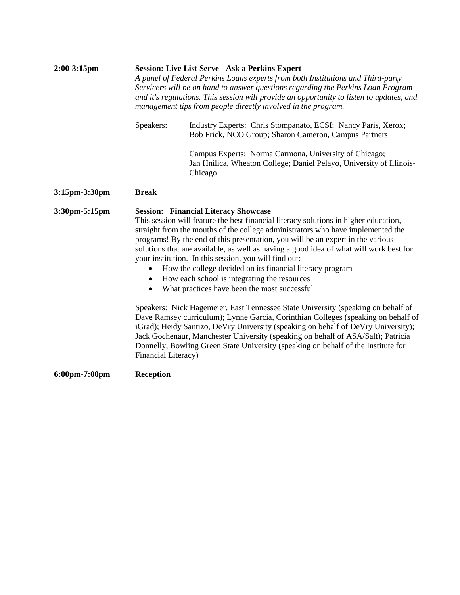| $2:00-3:15$ pm                    | <b>Session: Live List Serve - Ask a Perkins Expert</b><br>A panel of Federal Perkins Loans experts from both Institutions and Third-party<br>Servicers will be on hand to answer questions regarding the Perkins Loan Program<br>and it's regulations. This session will provide an opportunity to listen to updates, and<br>management tips from people directly involved in the program.                                                                                                                                                                                                                                |                                                                                                                                          |  |  |
|-----------------------------------|---------------------------------------------------------------------------------------------------------------------------------------------------------------------------------------------------------------------------------------------------------------------------------------------------------------------------------------------------------------------------------------------------------------------------------------------------------------------------------------------------------------------------------------------------------------------------------------------------------------------------|------------------------------------------------------------------------------------------------------------------------------------------|--|--|
|                                   | Speakers:                                                                                                                                                                                                                                                                                                                                                                                                                                                                                                                                                                                                                 | Industry Experts: Chris Stompanato, ECSI; Nancy Paris, Xerox;<br>Bob Frick, NCO Group; Sharon Cameron, Campus Partners                   |  |  |
|                                   |                                                                                                                                                                                                                                                                                                                                                                                                                                                                                                                                                                                                                           | Campus Experts: Norma Carmona, University of Chicago;<br>Jan Hnilica, Wheaton College; Daniel Pelayo, University of Illinois-<br>Chicago |  |  |
| $3:15$ pm $-3:30$ pm              | <b>Break</b>                                                                                                                                                                                                                                                                                                                                                                                                                                                                                                                                                                                                              |                                                                                                                                          |  |  |
| 3:30pm-5:15pm                     | <b>Session: Financial Literacy Showcase</b><br>This session will feature the best financial literacy solutions in higher education,<br>straight from the mouths of the college administrators who have implemented the<br>programs! By the end of this presentation, you will be an expert in the various<br>solutions that are available, as well as having a good idea of what will work best for<br>your institution. In this session, you will find out:<br>How the college decided on its financial literacy program<br>How each school is integrating the resources<br>What practices have been the most successful |                                                                                                                                          |  |  |
|                                   | Speakers: Nick Hagemeier, East Tennessee State University (speaking on behalf of<br>Dave Ramsey curriculum); Lynne Garcia, Corinthian Colleges (speaking on behalf of<br>iGrad); Heidy Santizo, DeVry University (speaking on behalf of DeVry University);<br>Jack Gochenaur, Manchester University (speaking on behalf of ASA/Salt); Patricia<br>Donnelly, Bowling Green State University (speaking on behalf of the Institute for<br>Financial Literacy)                                                                                                                                                                |                                                                                                                                          |  |  |
| $6:00 \text{pm} - 7:00 \text{pm}$ | <b>Reception</b>                                                                                                                                                                                                                                                                                                                                                                                                                                                                                                                                                                                                          |                                                                                                                                          |  |  |